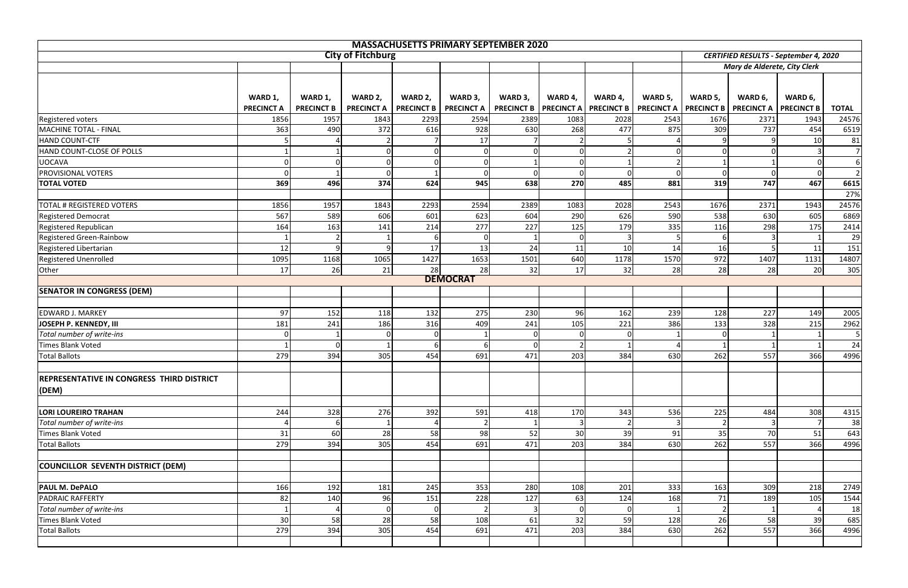| <b>MASSACHUSETTS PRIMARY SEPTEMBER 2020</b>      |                   |                   |                          |                   |                   |                                |         |                   |                   |                                              |                              |                   |                  |  |  |  |
|--------------------------------------------------|-------------------|-------------------|--------------------------|-------------------|-------------------|--------------------------------|---------|-------------------|-------------------|----------------------------------------------|------------------------------|-------------------|------------------|--|--|--|
|                                                  |                   |                   | <b>City of Fitchburg</b> |                   |                   |                                |         |                   |                   | <b>CERTIFIED RESULTS - September 4, 2020</b> |                              |                   |                  |  |  |  |
|                                                  |                   |                   |                          |                   |                   |                                |         |                   |                   |                                              | Mary de Alderete, City Clerk |                   |                  |  |  |  |
|                                                  |                   |                   |                          |                   |                   |                                |         |                   |                   |                                              |                              |                   |                  |  |  |  |
|                                                  |                   |                   |                          |                   |                   |                                |         |                   |                   |                                              |                              |                   |                  |  |  |  |
|                                                  | WARD 1,           | WARD 1,           | WARD 2,                  | WARD 2,           | WARD 3,           | WARD 3,                        | WARD 4, | WARD 4,           | WARD 5,           | WARD 5,                                      | WARD 6,                      | WARD 6,           |                  |  |  |  |
|                                                  | <b>PRECINCT A</b> | <b>PRECINCT B</b> | <b>PRECINCT A</b>        | <b>PRECINCT B</b> | <b>PRECINCT A</b> | <b>PRECINCT B   PRECINCT A</b> |         | <b>PRECINCT B</b> | <b>PRECINCT A</b> | <b>PRECINCT B</b>                            | <b>PRECINCT A</b>            | <b>PRECINCT B</b> | <b>TOTAL</b>     |  |  |  |
| <b>Registered voters</b>                         | 1856              | 1957              | 1843                     | 2293              | 2594              | 2389                           | 1083    | 2028              | 2543              | 1676                                         | 2371                         | 1943              | 24576            |  |  |  |
| MACHINE TOTAL - FINAL                            | 363               | 490               | 372                      | 616               | 928               | 630                            | 268     | 477               | 875               | 309                                          | 737                          | 454               | 6519             |  |  |  |
| HAND COUNT-CTF                                   |                   |                   |                          |                   | 17                |                                |         |                   |                   |                                              |                              | 10                | 81               |  |  |  |
| HAND COUNT-CLOSE OF POLLS                        |                   |                   |                          |                   | $\Omega$          |                                |         |                   | $\Omega$          | $\Omega$                                     |                              |                   | $7 \overline{ }$ |  |  |  |
| <b>UOCAVA</b>                                    | $\overline{0}$    |                   |                          | $\Omega$          | $\mathbf 0$       |                                |         |                   | $\overline{2}$    | $\mathbf{1}$                                 |                              |                   | <sup>6</sup>     |  |  |  |
| <b>PROVISIONAL VOTERS</b>                        | $\Omega$          |                   |                          |                   | $\Omega$          |                                |         |                   | $\Omega$          | $\Omega$                                     |                              |                   | $\overline{2}$   |  |  |  |
| <b>TOTAL VOTED</b>                               | 369               | 496               | 374                      | 624               | 945               | 638                            | 270     | 485               | 881               | 319                                          | 747                          | 467               | 6615             |  |  |  |
|                                                  |                   |                   |                          |                   |                   |                                |         |                   |                   |                                              |                              |                   | 27%              |  |  |  |
| <b>TOTAL # REGISTERED VOTERS</b>                 | 1856              | 1957              | 1843                     | 2293              | 2594              | 2389                           | 1083    | 2028              | 2543              | 1676                                         | 2371                         | 1943              | 24576            |  |  |  |
| <b>Registered Democrat</b>                       | 567               | 589               | 606                      | 601               | 623               | 604                            | 290     | 626               | 590               | 538                                          | 630                          | 605               | 6869             |  |  |  |
| Registered Republican                            | 164               | 163               | 141                      | 214               | 277               | 227                            | 125     | 179               | 335               | 116                                          | 298                          | 175               | 2414             |  |  |  |
| Registered Green-Rainbow                         |                   |                   |                          |                   | $\Omega$          |                                |         |                   |                   | 6                                            |                              |                   | 29               |  |  |  |
| Registered Libertarian                           | 12                | q                 |                          | 17                | 13                | 24                             | 11      | 10                | 14                | 16                                           |                              | 11                | 151              |  |  |  |
| <b>Registered Unenrolled</b>                     | 1095              | 1168              | 1065                     | 1427              | 1653              | 1501                           | 640     | 1178              | 1570              | 972                                          | 1407                         | 1131              | 14807            |  |  |  |
| Other                                            | 17                | 26                | 21                       | 28                | 28                | 32                             | 17      | 32                | 28                | 28                                           | 28                           | 20                | 305              |  |  |  |
|                                                  |                   |                   |                          |                   | <b>DEMOCRAT</b>   |                                |         |                   |                   |                                              |                              |                   |                  |  |  |  |
| <b>SENATOR IN CONGRESS (DEM)</b>                 |                   |                   |                          |                   |                   |                                |         |                   |                   |                                              |                              |                   |                  |  |  |  |
|                                                  |                   |                   |                          |                   |                   |                                |         |                   |                   |                                              |                              |                   |                  |  |  |  |
| <b>EDWARD J. MARKEY</b>                          | 97                | 152               | 118                      | 132               | 275               | 230                            | 96      | 162               | 239               | 128                                          | 227                          | 149               | 2005             |  |  |  |
| JOSEPH P. KENNEDY, III                           | 181               | 241               | 186                      | 316               | 409               | 241                            | 105     | 221               | 386               | 133                                          | 328                          | 215               | 2962             |  |  |  |
| Total number of write-ins                        | $\overline{0}$    |                   |                          | $\Omega$          |                   |                                |         | $\Omega$          |                   | $\Omega$                                     |                              |                   |                  |  |  |  |
| <b>Times Blank Voted</b>                         |                   |                   |                          |                   | -6                |                                |         |                   |                   |                                              |                              |                   | 24               |  |  |  |
| <b>Total Ballots</b>                             | 279               | 394               | 305                      | 454               | 691               | 471                            | 203     | 384               | 630               | 262                                          | 557                          | 366               | 4996             |  |  |  |
|                                                  |                   |                   |                          |                   |                   |                                |         |                   |                   |                                              |                              |                   |                  |  |  |  |
| <b>REPRESENTATIVE IN CONGRESS THIRD DISTRICT</b> |                   |                   |                          |                   |                   |                                |         |                   |                   |                                              |                              |                   |                  |  |  |  |
| (DEM)                                            |                   |                   |                          |                   |                   |                                |         |                   |                   |                                              |                              |                   |                  |  |  |  |
|                                                  |                   |                   |                          |                   |                   |                                |         |                   |                   |                                              |                              |                   |                  |  |  |  |
| <b>LORI LOUREIRO TRAHAN</b>                      | 244               | 328               | 276                      | 392               | 591               | 418                            | 170     | 343               | 536               | 225                                          | 484                          | 308               | 4315             |  |  |  |
| Total number of write-ins                        |                   |                   |                          |                   |                   |                                |         |                   | 3                 |                                              |                              |                   | 38               |  |  |  |
| <b>Times Blank Voted</b>                         | 31                | 60                | 28                       | 58                | 98                | 52                             | 30      | 39                | 91                | 35                                           | 70                           | 51                | 643              |  |  |  |
| <b>Total Ballots</b>                             | 279               | 394               | 305                      | 454               | 691               | 471                            | 203     | 384               | 630               | 262                                          | 557                          | 366               | 4996             |  |  |  |
|                                                  |                   |                   |                          |                   |                   |                                |         |                   |                   |                                              |                              |                   |                  |  |  |  |
| COUNCILLOR SEVENTH DISTRICT (DEM)                |                   |                   |                          |                   |                   |                                |         |                   |                   |                                              |                              |                   |                  |  |  |  |
|                                                  |                   |                   |                          |                   |                   |                                |         |                   |                   |                                              |                              |                   |                  |  |  |  |
| <b>PAUL M. DePALO</b>                            | 166               | 192               | 181                      | 245               | 353               | 280                            | 108     | 201               | 333               | 163                                          | 309                          | 218               | 2749             |  |  |  |
| <b>PADRAIC RAFFERTY</b>                          | 82                | 140               | 96                       | 151               | 228               | 127                            | 63      | 124               | 168               | 71                                           | 189                          | 105               | 1544             |  |  |  |
| Total number of write-ins                        |                   |                   |                          |                   |                   |                                |         |                   |                   | $\mathcal{P}$                                |                              |                   | 18               |  |  |  |
| <b>Times Blank Voted</b>                         | 30                | 58                | 28                       | 58                | 108               | 61                             | 32      | 59                | 128               | 26                                           | 58                           | 39                | 685              |  |  |  |
| <b>Total Ballots</b>                             | 279               | 394               | 305                      | 454               | 691               | 471                            | 203     | 384               | 630               | 262                                          | 557                          | 366               | 4996             |  |  |  |
|                                                  |                   |                   |                          |                   |                   |                                |         |                   |                   |                                              |                              |                   |                  |  |  |  |
|                                                  |                   |                   |                          |                   |                   |                                |         |                   |                   |                                              |                              |                   |                  |  |  |  |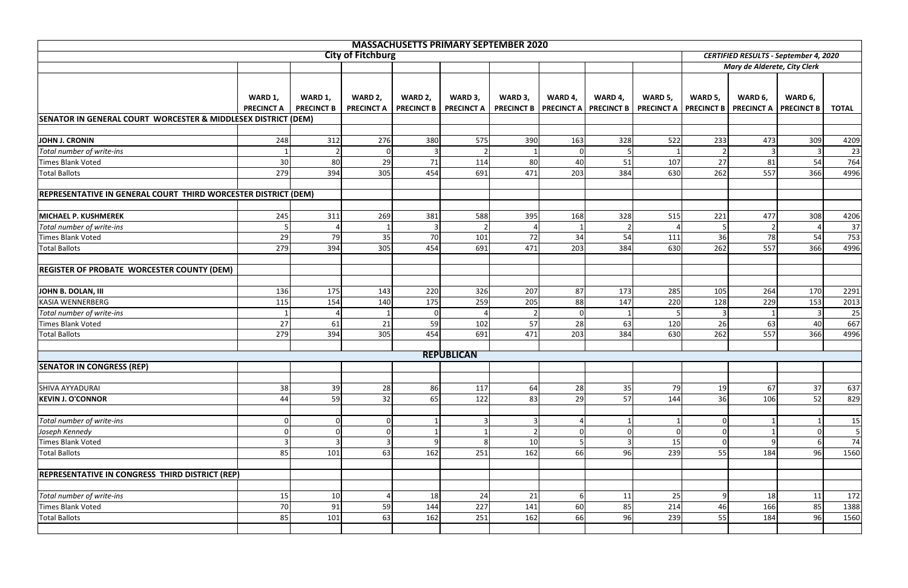|                                                                |                   |                   |                          |                   | <b>MASSACHUSETTS PRIMARY SEPTEMBER 2020</b> |                                |         |                   |                   |                   |                                              |                   |                |
|----------------------------------------------------------------|-------------------|-------------------|--------------------------|-------------------|---------------------------------------------|--------------------------------|---------|-------------------|-------------------|-------------------|----------------------------------------------|-------------------|----------------|
|                                                                |                   |                   | <b>City of Fitchburg</b> |                   |                                             |                                |         |                   |                   |                   | <b>CERTIFIED RESULTS - September 4, 2020</b> |                   |                |
|                                                                |                   |                   |                          |                   |                                             |                                |         |                   |                   |                   | Mary de Alderete, City Clerk                 |                   |                |
|                                                                | WARD 1,           | WARD 1,           | WARD 2,                  | WARD 2,           | WARD 3,                                     | WARD 3,                        | WARD 4, | WARD 4,           | WARD 5,           | WARD 5,           | WARD 6,                                      | WARD 6,           |                |
|                                                                | <b>PRECINCT A</b> | <b>PRECINCT B</b> | <b>PRECINCT A</b>        | <b>PRECINCT B</b> | <b>PRECINCT A</b>                           | <b>PRECINCT B   PRECINCT A</b> |         | <b>PRECINCT B</b> | <b>PRECINCT A</b> | <b>PRECINCT B</b> | <b>PRECINCT A</b>                            | <b>PRECINCT B</b> | <b>TOTAL</b>   |
| SENATOR IN GENERAL COURT WORCESTER & MIDDLESEX DISTRICT (DEM)  |                   |                   |                          |                   |                                             |                                |         |                   |                   |                   |                                              |                   |                |
|                                                                |                   |                   |                          |                   |                                             |                                |         |                   |                   |                   |                                              |                   |                |
| JOHN J. CRONIN                                                 | 248               | 312               | 276                      | 380               | 575                                         | 390                            | 163     | 328               | 522               | 233               | 473                                          | 309               | 4209           |
| Total number of write-ins                                      |                   |                   |                          |                   |                                             |                                |         |                   |                   |                   |                                              |                   | 23             |
| Times Blank Voted                                              | 30                | 80                | 29                       | 71                | 114                                         | 80                             | 40      | 51                | 107               | 27                | 81                                           | 54                | 764            |
| <b>Total Ballots</b>                                           | 279               | 394               | 305                      | 454               | 691                                         | 471                            | 203     | 384               | 630               | 262               | 557                                          | 366               | 4996           |
|                                                                |                   |                   |                          |                   |                                             |                                |         |                   |                   |                   |                                              |                   |                |
| REPRESENTATIVE IN GENERAL COURT THIRD WORCESTER DISTRICT (DEM) |                   |                   |                          |                   |                                             |                                |         |                   |                   |                   |                                              |                   |                |
|                                                                |                   |                   |                          |                   |                                             |                                |         |                   |                   |                   |                                              |                   |                |
| MICHAEL P. KUSHMEREK                                           | 245               | 311               | 269                      | 381               | 588                                         | 395                            | 168     | 328               | 515               | 221               | 477                                          | 308               | 4206           |
| Total number of write-ins                                      | 5                 |                   |                          |                   |                                             |                                |         |                   |                   |                   |                                              |                   | 37             |
| Times Blank Voted                                              | 29                | 79                | 35                       | 70                | 101                                         | 72                             | 34      | 54                | 111               | 36                | 78                                           | 54                | 753            |
| <b>Total Ballots</b>                                           | 279               | 394               | 305                      | 454               | 691                                         | 471                            | 203     | 384               | 630               | 262               | 557                                          | 366               | 4996           |
|                                                                |                   |                   |                          |                   |                                             |                                |         |                   |                   |                   |                                              |                   |                |
| <b>REGISTER OF PROBATE WORCESTER COUNTY (DEM)</b>              |                   |                   |                          |                   |                                             |                                |         |                   |                   |                   |                                              |                   |                |
| JOHN B. DOLAN, III                                             | 136               | 175               | 143                      | 220               | 326                                         | 207                            | 87      | 173               | 285               | 105               | 264                                          | 170               | 2291           |
| <b>KASIA WENNERBERG</b>                                        | 115               | 154               | 140                      | 175               | 259                                         | 205                            | 88      | 147               | 220               | 128               | 229                                          | 153               | 2013           |
| Total number of write-ins                                      |                   |                   |                          | $\Omega$          |                                             |                                |         |                   | 5                 |                   |                                              |                   | 25             |
| Times Blank Voted                                              | 27                | 61                | 21                       | 59                | 102                                         | 57                             | 28      | 63                | 120               | 26                | 63                                           | 40                | 667            |
| <b>Total Ballots</b>                                           | 279               | 394               | 305                      | 454               | 691                                         | 471                            | 203     | 384               | 630               | 262               | 557                                          | 366               | 4996           |
|                                                                |                   |                   |                          |                   |                                             |                                |         |                   |                   |                   |                                              |                   |                |
|                                                                |                   |                   |                          |                   | <b>REPUBLICAN</b>                           |                                |         |                   |                   |                   |                                              |                   |                |
| <b>SENATOR IN CONGRESS (REP)</b>                               |                   |                   |                          |                   |                                             |                                |         |                   |                   |                   |                                              |                   |                |
|                                                                |                   |                   |                          |                   |                                             |                                |         |                   |                   |                   |                                              |                   |                |
| <b>SHIVA AYYADURAI</b>                                         | 38                | 39                | 28                       | 86                | 117                                         | 64                             | 28      | 35                | 79                | 19                | 67                                           | 37                | 637            |
| <b>KEVIN J. O'CONNOR</b>                                       | 44                | 59'               | 32                       | 65                | 122                                         | 83                             | 29      | 57                | 144               | 36                | 106                                          | 52                | 829            |
|                                                                |                   |                   |                          |                   |                                             |                                |         |                   |                   |                   |                                              |                   |                |
| Total number of write-ins                                      | $\overline{0}$    |                   |                          |                   |                                             |                                |         |                   |                   | $\overline{0}$    |                                              |                   | 15             |
| Joseph Kennedy                                                 | $\overline{0}$    |                   |                          |                   |                                             |                                |         |                   | $\Omega$          | 0I                |                                              |                   | 5 <sub>l</sub> |
| Times Blank Voted                                              | 3                 |                   |                          | a                 | 8                                           | 10                             |         |                   | 15                | $\overline{0}$    |                                              |                   | 74             |
| <b>Total Ballots</b>                                           | 85                | 101               | 63                       | 162               | 251                                         | 162                            | 66      | 96                | 239               | 55                | 184                                          | 96                | 1560           |
|                                                                |                   |                   |                          |                   |                                             |                                |         |                   |                   |                   |                                              |                   |                |
| <b>REPRESENTATIVE IN CONGRESS THIRD DISTRICT (REP)</b>         |                   |                   |                          |                   |                                             |                                |         |                   |                   |                   |                                              |                   |                |
|                                                                |                   |                   |                          |                   |                                             |                                |         |                   |                   |                   |                                              |                   |                |
| Total number of write-ins                                      | 15                | 10                |                          | 18                | 24                                          | 21                             |         | 11                | 25                | 9                 | 18                                           | 11                | 172            |
| Times Blank Voted                                              | 70                | 91                | 59                       | 144               | 227                                         | 141                            | 60      | 85                | 214               | 46                | 166                                          | 85                | 1388           |
| <b>Total Ballots</b>                                           | 85                | 101               | 63                       | 162               | 251                                         | 162                            | 66      | 96                | 239               | 55                | 184                                          | 96                | 1560           |
|                                                                |                   |                   |                          |                   |                                             |                                |         |                   |                   |                   |                                              |                   |                |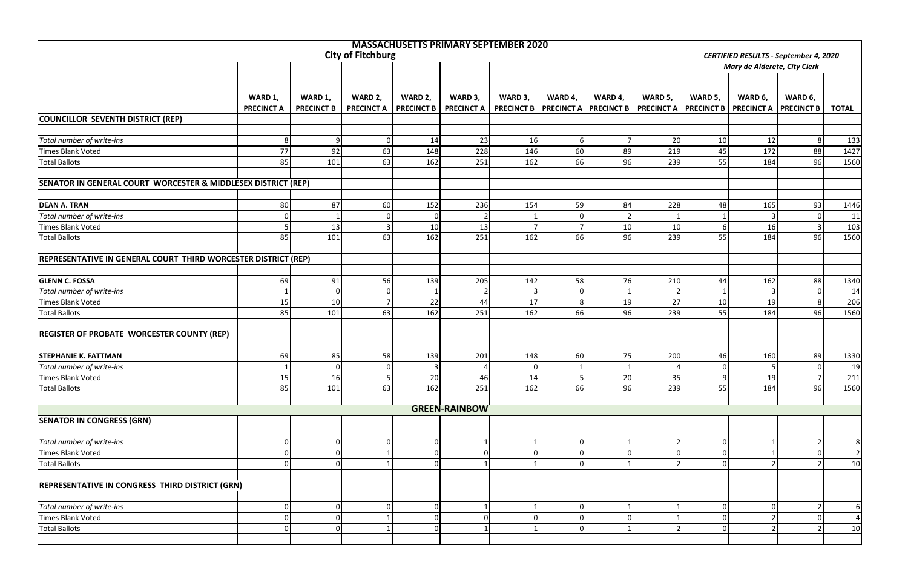| <b>MASSACHUSETTS PRIMARY SEPTEMBER 2020</b>                    |                   |                   |                          |                   |                      |                |         |                                      |                              |                |                                              |                   |                |
|----------------------------------------------------------------|-------------------|-------------------|--------------------------|-------------------|----------------------|----------------|---------|--------------------------------------|------------------------------|----------------|----------------------------------------------|-------------------|----------------|
|                                                                |                   |                   | <b>City of Fitchburg</b> |                   |                      |                |         |                                      |                              |                | <b>CERTIFIED RESULTS - September 4, 2020</b> |                   |                |
|                                                                |                   |                   |                          |                   |                      |                |         |                                      |                              |                | Mary de Alderete, City Clerk                 |                   |                |
|                                                                |                   |                   |                          |                   |                      |                |         |                                      |                              |                |                                              |                   |                |
|                                                                |                   |                   |                          |                   |                      |                |         |                                      |                              |                |                                              |                   |                |
|                                                                | WARD 1,           | WARD 1,           | WARD 2,                  | WARD 2,           | WARD 3,              | WARD 3,        | WARD 4, | WARD 4,                              | WARD 5,                      | WARD 5,        | WARD 6,                                      | WARD 6,           |                |
|                                                                | <b>PRECINCT A</b> | <b>PRECINCT B</b> | <b>PRECINCT A</b>        | <b>PRECINCT B</b> | <b>PRECINCT A</b>    |                |         | PRECINCT B   PRECINCT A   PRECINCT B | <b>PRECINCT A PRECINCT B</b> |                | <b>PRECINCT A</b>                            | <b>PRECINCT B</b> | <b>TOTAL</b>   |
| COUNCILLOR SEVENTH DISTRICT (REP)                              |                   |                   |                          |                   |                      |                |         |                                      |                              |                |                                              |                   |                |
|                                                                |                   |                   |                          |                   |                      |                |         |                                      |                              |                |                                              |                   |                |
| Total number of write-ins                                      | 8                 |                   |                          | 14                | 23                   | 16             |         |                                      | 20                           | 10             | 12                                           |                   | 133            |
| Times Blank Voted                                              | 77                | 92                | 63                       | 148               | 228                  | 146            | 60      | 89                                   | 219                          | 45             | 172                                          | 88                | 1427           |
| <b>Total Ballots</b>                                           | 85                | 101               | 63                       | 162               | 251                  | 162            | 66      | 96                                   | 239                          | 55             | 184                                          | 96                | 1560           |
| SENATOR IN GENERAL COURT WORCESTER & MIDDLESEX DISTRICT (REP)  |                   |                   |                          |                   |                      |                |         |                                      |                              |                |                                              |                   |                |
|                                                                |                   |                   |                          |                   |                      |                |         |                                      |                              |                |                                              |                   |                |
| <b>DEAN A. TRAN</b>                                            | 80                | 87                | 60                       | 152               | 236                  | 154            | 59      | 84                                   | 228                          | 48             | 165                                          | 93                | 1446           |
| Total number of write-ins                                      | 0                 |                   |                          | ∩                 |                      |                |         |                                      |                              |                |                                              |                   | 11             |
| <b>Times Blank Voted</b>                                       |                   | 13                |                          | 10                | 13                   |                |         | 10                                   | 10                           | 6              | 16                                           |                   | 103            |
| <b>Total Ballots</b>                                           | 85                | 101               | 63                       | 162               | 251                  | 162            | 66      | 96                                   | 239                          | 55             | 184                                          | 96                | 1560           |
|                                                                |                   |                   |                          |                   |                      |                |         |                                      |                              |                |                                              |                   |                |
| REPRESENTATIVE IN GENERAL COURT THIRD WORCESTER DISTRICT (REP) |                   |                   |                          |                   |                      |                |         |                                      |                              |                |                                              |                   |                |
|                                                                |                   |                   |                          |                   |                      |                |         |                                      |                              |                |                                              |                   |                |
| <b>GLENN C. FOSSA</b>                                          | 69                | 91                | 56                       | 139               | 205                  | 142            | 58      | 76                                   | 210                          | 44             | 162                                          | 88                | 1340           |
| Total number of write-ins                                      |                   |                   |                          |                   |                      |                |         |                                      |                              |                |                                              |                   | 14             |
| <b>Times Blank Voted</b>                                       | 15                | 10                |                          | 22                | 44                   | 17             |         | 19                                   | 27                           | 10             | 19                                           |                   | 206            |
| <b>Total Ballots</b>                                           | 85                | 101               | 63                       | 162               | 251                  | 162            | 66      | 96                                   | 239                          | 55             | 184                                          | 96                | 1560           |
|                                                                |                   |                   |                          |                   |                      |                |         |                                      |                              |                |                                              |                   |                |
| <b>REGISTER OF PROBATE WORCESTER COUNTY (REP)</b>              |                   |                   |                          |                   |                      |                |         |                                      |                              |                |                                              |                   |                |
|                                                                |                   |                   |                          |                   |                      |                |         |                                      |                              |                |                                              |                   |                |
| <b>STEPHANIE K. FATTMAN</b>                                    | 69                | 85                | 58                       | 139               | 201                  | 148            | 60      | 75                                   | 200                          | 46             | 160                                          | 89                | 1330           |
| Total number of write-ins                                      |                   | $\Omega$          | 01                       | 3                 | 4                    | $\overline{0}$ |         | $\mathbf{1}$                         | 4                            | $\overline{0}$ | 5                                            | <sup>0</sup>      | 19             |
| Times Blank Voted                                              | 15                | 16                |                          | 20                | 46                   | 14             |         | 20                                   | 35                           | 9              | 19                                           |                   | 211            |
| <b>Total Ballots</b>                                           | 85                | 101               | 63                       | 162               | 251                  | 162            | 66      | 96                                   | 239                          | 55             | 184                                          | 96                | 1560           |
|                                                                |                   |                   |                          |                   |                      |                |         |                                      |                              |                |                                              |                   |                |
|                                                                |                   |                   |                          |                   | <b>GREEN-RAINBOW</b> |                |         |                                      |                              |                |                                              |                   |                |
| <b>SENATOR IN CONGRESS (GRN)</b>                               |                   |                   |                          |                   |                      |                |         |                                      |                              |                |                                              |                   |                |
|                                                                |                   |                   |                          |                   |                      |                |         |                                      |                              |                |                                              |                   |                |
| Total number of write-ins                                      |                   |                   |                          |                   |                      |                |         |                                      |                              | $\Omega$       |                                              |                   | 81             |
| Times Blank Voted                                              | $\Omega$          |                   |                          | $\Omega$          |                      |                |         |                                      | $\Omega$                     | 0              |                                              |                   | $\overline{2}$ |
| <b>Total Ballots</b>                                           | $\Omega$          |                   |                          | $\Omega$          |                      |                |         |                                      | $\mathcal{P}$                | $\Omega$       |                                              |                   | 10             |
|                                                                |                   |                   |                          |                   |                      |                |         |                                      |                              |                |                                              |                   |                |
| REPRESENTATIVE IN CONGRESS THIRD DISTRICT (GRN)                |                   |                   |                          |                   |                      |                |         |                                      |                              |                |                                              |                   |                |
|                                                                |                   |                   |                          |                   |                      |                |         |                                      |                              |                |                                              |                   |                |
| Total number of write-ins                                      | $\overline{0}$    |                   |                          | $\Omega$          |                      |                |         |                                      |                              | $\Omega$       |                                              |                   | 6I             |
| Times Blank Voted                                              | $\overline{0}$    |                   |                          | $\Omega$          | ∩                    |                |         |                                      |                              | $\Omega$       |                                              |                   | $\overline{4}$ |
| <b>Total Ballots</b>                                           | $\Omega$          |                   |                          | ∩                 |                      |                |         |                                      |                              | $\Omega$       |                                              |                   | 10             |
|                                                                |                   |                   |                          |                   |                      |                |         |                                      |                              |                |                                              |                   |                |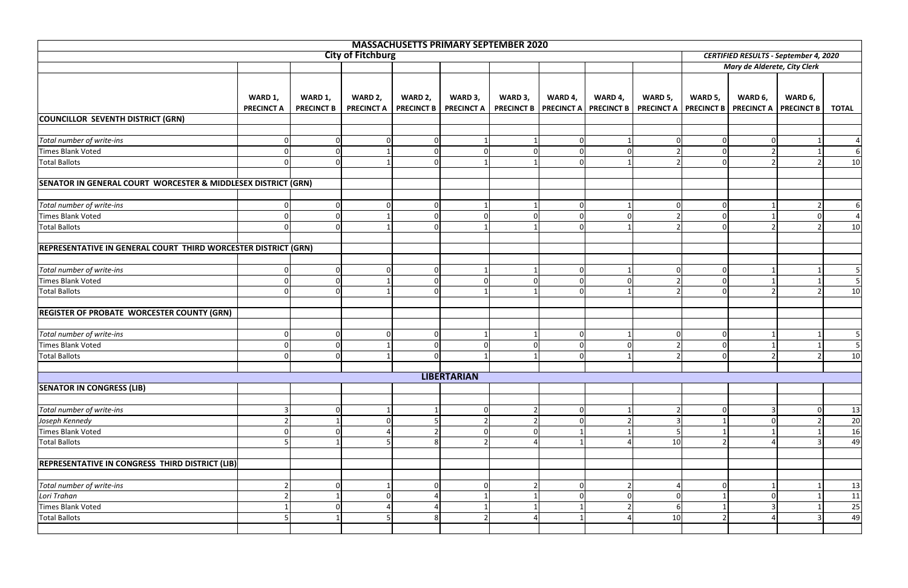|                                                                |                              |                              |                              |             | <b>MASSACHUSETTS PRIMARY SEPTEMBER 2020</b>                                                                      |         |         |          |                |                |                              |                                              |                                         |  |  |  |  |  |  |
|----------------------------------------------------------------|------------------------------|------------------------------|------------------------------|-------------|------------------------------------------------------------------------------------------------------------------|---------|---------|----------|----------------|----------------|------------------------------|----------------------------------------------|-----------------------------------------|--|--|--|--|--|--|
|                                                                |                              | <b>City of Fitchburg</b>     |                              |             |                                                                                                                  |         |         |          |                |                |                              | <b>CERTIFIED RESULTS - September 4, 2020</b> |                                         |  |  |  |  |  |  |
|                                                                |                              |                              |                              |             |                                                                                                                  |         |         |          |                |                | Mary de Alderete, City Clerk |                                              |                                         |  |  |  |  |  |  |
|                                                                | WARD 1,<br><b>PRECINCT A</b> | WARD 1,<br><b>PRECINCT B</b> | WARD 2,<br><b>PRECINCT A</b> | WARD 2,     | WARD 3,<br>PRECINCT B   PRECINCT A   PRECINCT B   PRECINCT A   PRECINCT B   PRECINCT A   PRECINCT B   PRECINCT A | WARD 3, | WARD 4, | WARD 4,  | WARD 5,        | WARD 5,        | WARD 6,                      | WARD 6,<br><b>PRECINCT B</b>                 | <b>TOTAL</b>                            |  |  |  |  |  |  |
| COUNCILLOR SEVENTH DISTRICT (GRN)                              |                              |                              |                              |             |                                                                                                                  |         |         |          |                |                |                              |                                              |                                         |  |  |  |  |  |  |
|                                                                |                              |                              |                              |             |                                                                                                                  |         |         |          |                |                |                              |                                              |                                         |  |  |  |  |  |  |
| Total number of write-ins                                      | 0                            |                              |                              | $\Omega$    |                                                                                                                  |         |         |          | $\Omega$       | $\Omega$       |                              |                                              | $\mathbf{4}$                            |  |  |  |  |  |  |
| Times Blank Voted                                              | 0                            |                              |                              | $\Omega$    |                                                                                                                  |         |         | $\Omega$ | $\overline{2}$ | 0              |                              |                                              | 6I                                      |  |  |  |  |  |  |
| <b>Total Ballots</b>                                           | $\Omega$                     |                              |                              | $\Omega$    |                                                                                                                  |         |         |          | $\mathcal{P}$  | $\Omega$       |                              |                                              | 10                                      |  |  |  |  |  |  |
| SENATOR IN GENERAL COURT WORCESTER & MIDDLESEX DISTRICT (GRN)  |                              |                              |                              |             |                                                                                                                  |         |         |          |                |                |                              |                                              |                                         |  |  |  |  |  |  |
| Total number of write-ins                                      | 0                            |                              |                              | 0           |                                                                                                                  |         |         |          | 0              | 0              |                              |                                              | 61                                      |  |  |  |  |  |  |
| <b>Times Blank Voted</b>                                       | $\Omega$                     |                              |                              | $\Omega$    |                                                                                                                  |         |         |          |                | $\Omega$       |                              |                                              | $\overline{4}$                          |  |  |  |  |  |  |
| <b>Total Ballots</b>                                           | $\Omega$                     |                              |                              | $\Omega$    |                                                                                                                  |         |         |          | $\mathcal{D}$  | $\Omega$       |                              |                                              | 10                                      |  |  |  |  |  |  |
| REPRESENTATIVE IN GENERAL COURT THIRD WORCESTER DISTRICT (GRN) |                              |                              |                              |             |                                                                                                                  |         |         |          |                |                |                              |                                              |                                         |  |  |  |  |  |  |
| Total number of write-ins                                      | 0l                           |                              |                              | 0           |                                                                                                                  |         |         |          | $\Omega$       | 0              |                              |                                              |                                         |  |  |  |  |  |  |
| Times Blank Voted                                              | $\overline{0}$               |                              |                              | $\mathbf 0$ | $\Omega$                                                                                                         |         |         | $\Omega$ | $\overline{2}$ | $\Omega$       |                              |                                              | 5 <sub>l</sub>                          |  |  |  |  |  |  |
| <b>Total Ballots</b>                                           |                              |                              |                              | $\Omega$    |                                                                                                                  |         |         |          |                | $\Omega$       |                              |                                              | 10                                      |  |  |  |  |  |  |
| <b>REGISTER OF PROBATE WORCESTER COUNTY (GRN)</b>              |                              |                              |                              |             |                                                                                                                  |         |         |          |                |                |                              |                                              |                                         |  |  |  |  |  |  |
| Total number of write-ins                                      | 0                            |                              |                              | $\mathbf 0$ |                                                                                                                  |         |         |          | 0              | $\overline{0}$ |                              |                                              |                                         |  |  |  |  |  |  |
| <b>Times Blank Voted</b>                                       | $\Omega$                     |                              |                              | ∩           |                                                                                                                  |         |         |          | $\mathcal{D}$  | $\Omega$       |                              |                                              |                                         |  |  |  |  |  |  |
| <b>Total Ballots</b>                                           | $\Omega$                     |                              |                              |             |                                                                                                                  |         |         |          |                | $\Omega$       |                              |                                              | 10                                      |  |  |  |  |  |  |
|                                                                |                              |                              |                              |             | <b>LIBERTARIAN</b>                                                                                               |         |         |          |                |                |                              |                                              |                                         |  |  |  |  |  |  |
| <b>SENATOR IN CONGRESS (LIB)</b>                               |                              |                              |                              |             |                                                                                                                  |         |         |          |                |                |                              |                                              |                                         |  |  |  |  |  |  |
|                                                                |                              |                              |                              |             |                                                                                                                  |         |         |          |                |                |                              |                                              |                                         |  |  |  |  |  |  |
| Total number of write-ins                                      | $\mathsf{3}$                 |                              |                              |             | $\Omega$                                                                                                         |         |         |          |                | $\Omega$       |                              |                                              | 13                                      |  |  |  |  |  |  |
| Joseph Kennedy                                                 | $\overline{2}$               |                              |                              |             |                                                                                                                  |         |         |          | 3              |                |                              |                                              | $\overline{20}$                         |  |  |  |  |  |  |
| Times Blank Voted                                              |                              |                              |                              |             |                                                                                                                  |         |         |          | 5              |                |                              |                                              | 16                                      |  |  |  |  |  |  |
| <b>Total Ballots</b>                                           |                              |                              |                              | 8           |                                                                                                                  |         |         |          | 10             | ົາ             |                              |                                              | 49                                      |  |  |  |  |  |  |
| REPRESENTATIVE IN CONGRESS THIRD DISTRICT (LIB)                |                              |                              |                              |             |                                                                                                                  |         |         |          |                |                |                              |                                              |                                         |  |  |  |  |  |  |
| Total number of write-ins                                      |                              |                              |                              | 0           | $\Omega$                                                                                                         |         |         |          | 4              | 0              |                              |                                              | 13                                      |  |  |  |  |  |  |
| Lori Trahan                                                    |                              |                              |                              |             |                                                                                                                  |         |         |          | 0              |                |                              |                                              |                                         |  |  |  |  |  |  |
| Times Blank Voted                                              |                              |                              |                              |             |                                                                                                                  |         |         |          | 6              |                |                              |                                              | $\begin{array}{c} 11 \\ 25 \end{array}$ |  |  |  |  |  |  |
| <b>Total Ballots</b>                                           |                              |                              |                              | 8           |                                                                                                                  |         |         |          | 10             | $\mathcal{D}$  |                              |                                              | 49                                      |  |  |  |  |  |  |